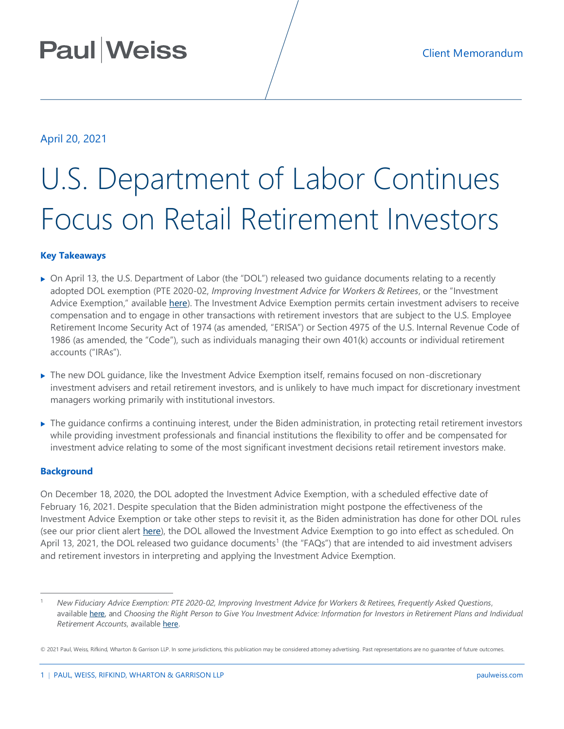## **Paul Weiss**

### April 20, 2021

# U.S. Department of Labor Continues Focus on Retail Retirement Investors

#### **Key Takeaways**

- On April 13, the U.S. Department of Labor (the "DOL") released two guidance documents relating to a recently adopted DOL exemption (PTE 2020-02, *Improving Investment Advice for Workers & Retirees*, or the "Investment Advice Exemption," available [here\)](https://www.govinfo.gov/content/pkg/FR-2020-12-18/pdf/2020-27825.pdf). The Investment Advice Exemption permits certain investment advisers to receive compensation and to engage in other transactions with retirement investors that are subject to the U.S. Employee Retirement Income Security Act of 1974 (as amended, "ERISA") or Section 4975 of the U.S. Internal Revenue Code of 1986 (as amended, the "Code"), such as individuals managing their own 401(k) accounts or individual retirement accounts ("IRAs").
- ▶ The new DOL quidance, like the Investment Advice Exemption itself, remains focused on non-discretionary investment advisers and retail retirement investors, and is unlikely to have much impact for discretionary investment managers working primarily with institutional investors.
- The guidance confirms a continuing interest, under the Biden administration, in protecting retail retirement investors while providing investment professionals and financial institutions the flexibility to offer and be compensated for investment advice relating to some of the most significant investment decisions retail retirement investors make.

#### **Background**

 $\overline{a}$ 

On December 18, 2020, the DOL adopted the Investment Advice Exemption, with a scheduled effective date of February 16, 2021. Despite speculation that the Biden administration might postpone the effectiveness of the Investment Advice Exemption or take other steps to revisit it, as the Biden administration has done for other DOL rules (see our prior client alert [here\)](https://www.paulweiss.com/practices/transactional/executive-compensation/publications/us-department-of-labor-will-not-enforce-final-rules-on-esg-investing-proxy-voting?id=39564), the DOL allowed the Investment Advice Exemption to go into effect as scheduled. On April 13, 2021, the DOL released two guidance documents<sup>1</sup> (the "FAQs") that are intended to aid investment advisers and retirement investors in interpreting and applying the Investment Advice Exemption.

<sup>1</sup> *New Fiduciary Advice Exemption: PTE 2020-02, Improving Investment Advice for Workers & Retirees, Frequently Asked Questions*, available [here,](https://www.dol.gov/agencies/ebsa/about-ebsa/our-activities/resource-center/faqs/new-fiduciary-advice-exemption) and *Choosing the Right Person to Give You Investment Advice: Information for Investors in Retirement Plans and Individual Retirement Accounts*, availabl[e here.](https://www.dol.gov/agencies/ebsa/about-ebsa/our-activities/resource-center/faqs/choosing-the-right-person-to-give-you-investment-advice)

<sup>© 2021</sup> Paul, Weiss, Rifkind, Wharton & Garrison LLP. In some jurisdictions, this publication may be considered attorney advertising. Past representations are no guarantee of future outcomes.